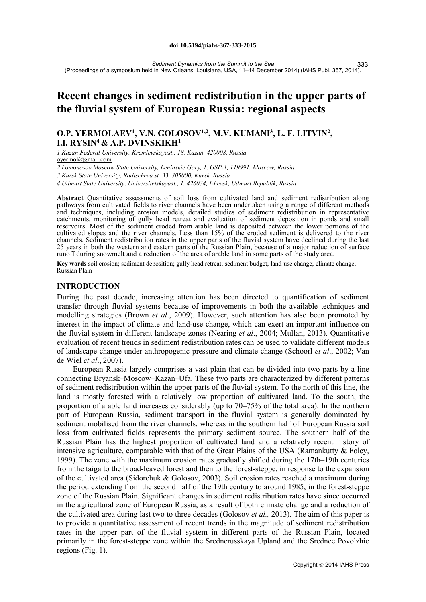*Sediment Dynamics from the Summit to the Sea* (Proceedings of a symposium held in New Orleans, Louisiana, USA, 11–14 December 2014) (IAHS Publ. 367, 2014). 333

# **Recent changes in sediment redistribution in the upper parts of the fluvial system of European Russia: regional aspects**

# **O.P. YERMOLAEV1, V.N. GOLOSOV1,2, M.V. KUMANI3, L. F. LITVIN2, I.I. RYSIN4 & A.P. DVINSKIKH1**

*1 Kazan Federal University, Kremlevskayast., 18, Kazan, 420008, Russia* oyermol@gmail.com

*2 Lomonosov Moscow State University, Leninskie Gory, 1, GSP-1, 119991, Moscow, Russia*

*3 Kursk State University, Radischeva st.,33, 305000, Kursk, Russia*

*4 Udmurt State University, Universitetskayast., 1, 426034, Izhevsk, Udmurt Republik, Russia*

**Abstract** Quantitative assessments of soil loss from cultivated land and sediment redistribution along pathways from cultivated fields to river channels have been undertaken using a range of different methods and techniques, including erosion models, detailed studies of sediment redistribution in representative catchments, monitoring of gully head retreat and evaluation of sediment deposition in ponds and small reservoirs. Most of the sediment eroded from arable land is deposited between the lower portions of the cultivated slopes and the river channels. Less than 15% of the eroded sediment is delivered to the river channels. Sediment redistribution rates in the upper parts of the fluvial system have declined during the last 25 years in both the western and eastern parts of the Russian Plain, because of a major reduction of surface runoff during snowmelt and a reduction of the area of arable land in some parts of the study area.

**Key words** soil erosion; sediment deposition; gully head retreat; sediment budget; land-use change; climate change; Russian Plain

# **INTRODUCTION**

During the past decade, increasing attention has been directed to quantification of sediment transfer through fluvial systems because of improvements in both the available techniques and modelling strategies (Brown *et al*., 2009). However, such attention has also been promoted by interest in the impact of climate and land-use change, which can exert an important influence on the fluvial system in different landscape zones (Nearing *et al*., 2004; Mullan, 2013). Quantitative evaluation of recent trends in sediment redistribution rates can be used to validate different models of landscape change under anthropogenic pressure and climate change (Schoorl *et al*., 2002; Van de Wiel *et al*., 2007).

European Russia largely comprises a vast plain that can be divided into two parts by a line connecting Bryansk–Moscow–Kazan–Ufa. These two parts are characterized by different patterns of sediment redistribution within the upper parts of the fluvial system. To the north of this line, the land is mostly forested with a relatively low proportion of cultivated land. To the south, the proportion of arable land increases considerably (up to 70–75% of the total area). In the northern part of European Russia, sediment transport in the fluvial system is generally dominated by sediment mobilised from the river channels, whereas in the southern half of European Russia soil loss from cultivated fields represents the primary sediment source. The southern half of the Russian Plain has the highest proportion of cultivated land and a relatively recent history of intensive agriculture, comparable with that of the Great Plains of the USA (Ramankutty  $\&$  Foley, 1999). The zone with the maximum erosion rates gradually shifted during the 17th–19th centuries from the taiga to the broad-leaved forest and then to the forest-steppe, in response to the expansion of the cultivated area (Sidorchuk & Golosov, 2003). Soil erosion rates reached a maximum during the period extending from the second half of the 19th century to around 1985, in the forest-steppe zone of the Russian Plain. Significant changes in sediment redistribution rates have since occurred in the agricultural zone of European Russia, as a result of both climate change and a reduction of the cultivated area during last two to three decades (Golosov *et al.,* 2013). The aim of this paper is to provide a quantitative assessment of recent trends in the magnitude of sediment redistribution rates in the upper part of the fluvial system in different parts of the Russian Plain, located primarily in the forest-steppe zone within the Srednerusskaya Upland and the Srednee Povolzhie regions (Fig. 1).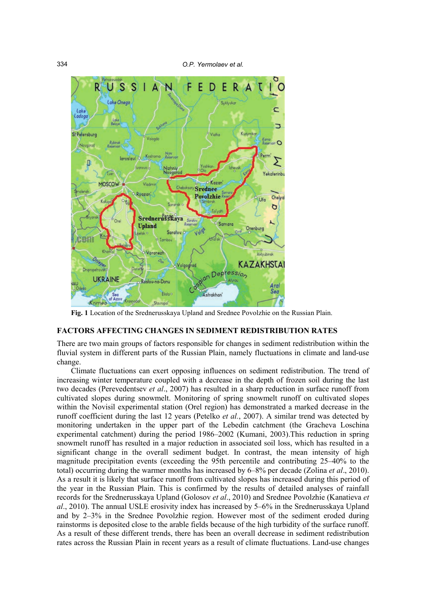334 *O.P. Yermolaev et al.*



**Fig. 1** Location of the Srednerusskaya Upland and Srednee Povolzhie on the Russian Plain.

#### **FACTORS AFFECTING CHANGES IN SEDIMENT REDISTRIBUTION RATES**

There are two main groups of factors responsible for changes in sediment redistribution within the fluvial system in different parts of the Russian Plain, namely fluctuations in climate and land-use change.

Climate fluctuations can exert opposing influences on sediment redistribution. The trend of increasing winter temperature coupled with a decrease in the depth of frozen soil during the last two decades (Perevedentsev *et al*., 2007) has resulted in a sharp reduction in surface runoff from cultivated slopes during snowmelt. Monitoring of spring snowmelt runoff on cultivated slopes within the Novisil experimental station (Orel region) has demonstrated a marked decrease in the runoff coefficient during the last 12 years (Petelko *et al.*, 2007). A similar trend was detected by monitoring undertaken in the upper part of the Lebedin catchment (the Gracheva Loschina experimental catchment) during the period 1986–2002 (Kumani, 2003).This reduction in spring snowmelt runoff has resulted in a major reduction in associated soil loss, which has resulted in a significant change in the overall sediment budget. In contrast, the mean intensity of high magnitude precipitation events (exceeding the 95th percentile and contributing 25–40% to the total) occurring during the warmer months has increased by 6–8% per decade (Zolina *et al*., 2010). As a result it is likely that surface runoff from cultivated slopes has increased during this period of the year in the Russian Plain. This is confirmed by the results of detailed analyses of rainfall records for the Srednerusskaya Upland (Golosov *et al*., 2010) and Srednee Povolzhie (Kanatieva *et al*., 2010). The annual USLE erosivity index has increased by 5–6% in the Srednerusskaya Upland and by 2–3% in the Srednee Povolzhie region. However most of the sediment eroded during rainstorms is deposited close to the arable fields because of the high turbidity of the surface runoff. As a result of these different trends, there has been an overall decrease in sediment redistribution rates across the Russian Plain in recent years as a result of climate fluctuations. Land-use changes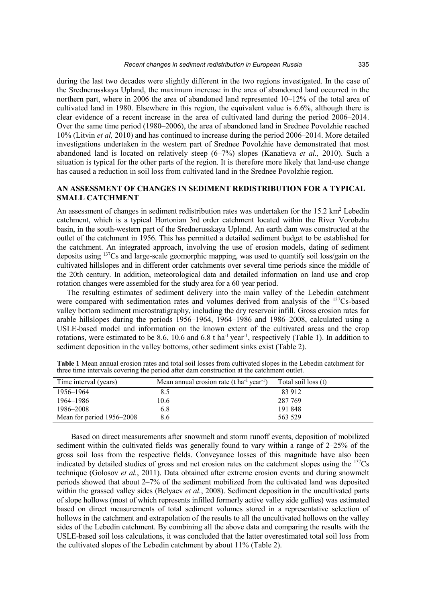during the last two decades were slightly different in the two regions investigated. In the case of the Srednerusskaya Upland, the maximum increase in the area of abandoned land occurred in the northern part, where in 2006 the area of abandoned land represented 10–12% of the total area of cultivated land in 1980. Elsewhere in this region, the equivalent value is 6.6%, although there is clear evidence of a recent increase in the area of cultivated land during the period 2006–2014. Over the same time period (1980–2006), the area of abandoned land in Srednee Povolzhie reached 10% (Litvin *et al,* 2010) and has continued to increase during the period 2006–2014. More detailed investigations undertaken in the western part of Srednee Povolzhie have demonstrated that most abandoned land is located on relatively steep (6–7%) slopes (Kanatieva *et al.,* 2010). Such a situation is typical for the other parts of the region. It is therefore more likely that land-use change has caused a reduction in soil loss from cultivated land in the Srednee Povolzhie region.

# **AN ASSESSMENT OF CHANGES IN SEDIMENT REDISTRIBUTION FOR A TYPICAL SMALL CATCHMENT**

An assessment of changes in sediment redistribution rates was undertaken for the 15.2 km<sup>2</sup> Lebedin catchment, which is a typical Hortonian 3rd order catchment located within the River Vorobzha basin, in the south-western part of the Srednerusskaya Upland. An earth dam was constructed at the outlet of the catchment in 1956. This has permitted a detailed sediment budget to be established for the catchment. An integrated approach, involving the use of erosion models, dating of sediment deposits using  $137Cs$  and large-scale geomorphic mapping, was used to quantify soil loss/gain on the cultivated hillslopes and in different order catchments over several time periods since the middle of the 20th century. In addition, meteorological data and detailed information on land use and crop rotation changes were assembled for the study area for a 60 year period.

The resulting estimates of sediment delivery into the main valley of the Lebedin catchment were compared with sedimentation rates and volumes derived from analysis of the <sup>137</sup>Cs-based valley bottom sediment microstratigraphy, including the dry reservoir infill. Gross erosion rates for arable hillslopes during the periods 1956–1964, 1964–1986 and 1986–2008, calculated using a USLE-based model and information on the known extent of the cultivated areas and the crop rotations, were estimated to be 8.6, 10.6 and 6.8 t ha<sup>-1</sup> year<sup>-1</sup>, respectively (Table 1). In addition to sediment deposition in the valley bottoms, other sediment sinks exist (Table 2).

| Time interval (years)     | Mean annual erosion rate (t ha <sup>-1</sup> year <sup>-1</sup> ) | Total soil loss (t) |
|---------------------------|-------------------------------------------------------------------|---------------------|
| 1956–1964                 | 8.5                                                               | 83 912              |
| 1964–1986                 | 10.6                                                              | 287 769             |
| 1986–2008                 | 6.8                                                               | 191 848             |
| Mean for period 1956–2008 | 8.6                                                               | 563 529             |

**Table 1** Mean annual erosion rates and total soil losses from cultivated slopes in the Lebedin catchment for three time intervals covering the period after dam construction at the catchment outlet.

Based on direct measurements after snowmelt and storm runoff events, deposition of mobilized sediment within the cultivated fields was generally found to vary within a range of 2–25% of the gross soil loss from the respective fields. Conveyance losses of this magnitude have also been indicated by detailed studies of gross and net erosion rates on the catchment slopes using the  $137Cs$ technique (Golosov *et al.*, 2011). Data obtained after extreme erosion events and during snowmelt periods showed that about 2–7% of the sediment mobilized from the cultivated land was deposited within the grassed valley sides (Belyaev *et al.*, 2008). Sediment deposition in the uncultivated parts of slope hollows (most of which represents infilled formerly active valley side gullies) was estimated based on direct measurements of total sediment volumes stored in a representative selection of hollows in the catchment and extrapolation of the results to all the uncultivated hollows on the valley sides of the Lebedin catchment. By combining all the above data and comparing the results with the USLE-based soil loss calculations, it was concluded that the latter overestimated total soil loss from the cultivated slopes of the Lebedin catchment by about 11% (Table 2).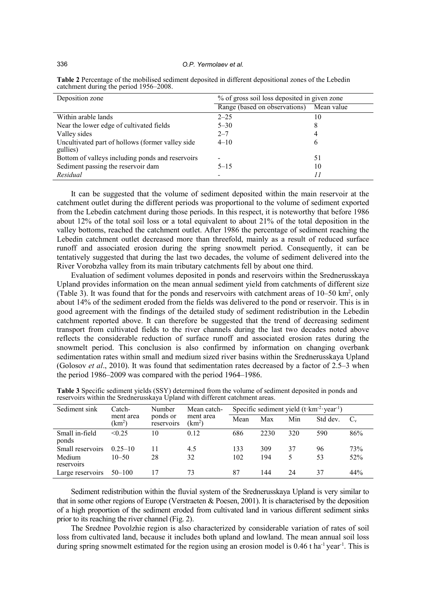336 *O.P. Yermolaev et al.*

| Deposition zone                                              | % of gross soil loss deposited in given zone |            |  |  |
|--------------------------------------------------------------|----------------------------------------------|------------|--|--|
|                                                              | Range (based on observations)                | Mean value |  |  |
| Within arable lands                                          | $2 - 25$                                     | 10         |  |  |
| Near the lower edge of cultivated fields                     | $5 - 30$                                     | 8          |  |  |
| Valley sides                                                 | $2 - 7$                                      |            |  |  |
| Uncultivated part of hollows (former valley side<br>gullies) | $4 - 10$                                     | 6          |  |  |
| Bottom of valleys including ponds and reservoirs             | $\overline{\phantom{a}}$                     | 51         |  |  |
| Sediment passing the reservoir dam                           | $5 - 15$                                     | 10         |  |  |
| Residual                                                     |                                              |            |  |  |

**Table 2** Percentage of the mobilised sediment deposited in different depositional zones of the Lebedin catchment during the period 1956–2008.

It can be suggested that the volume of sediment deposited within the main reservoir at the catchment outlet during the different periods was proportional to the volume of sediment exported from the Lebedin catchment during those periods. In this respect, it is noteworthy that before 1986 about 12% of the total soil loss or a total equivalent to about 21% of the total deposition in the valley bottoms, reached the catchment outlet. After 1986 the percentage of sediment reaching the Lebedin catchment outlet decreased more than threefold, mainly as a result of reduced surface runoff and associated erosion during the spring snowmelt period. Consequently, it can be tentatively suggested that during the last two decades, the volume of sediment delivered into the River Vorobzha valley from its main tributary catchments fell by about one third.

Evaluation of sediment volumes deposited in ponds and reservoirs within the Srednerusskaya Upland provides information on the mean annual sediment yield from catchments of different size (Table 3). It was found that for the ponds and reservoirs with catchment areas of  $10-50 \text{ km}^2$ , only about 14% of the sediment eroded from the fields was delivered to the pond or reservoir. This is in good agreement with the findings of the detailed study of sediment redistribution in the Lebedin catchment reported above. It can therefore be suggested that the trend of decreasing sediment transport from cultivated fields to the river channels during the last two decades noted above reflects the considerable reduction of surface runoff and associated erosion rates during the snowmelt period. This conclusion is also confirmed by information on changing overbank sedimentation rates within small and medium sized river basins within the Srednerusskaya Upland (Golosov *et al*., 2010). It was found that sedimentation rates decreased by a factor of 2.5–3 when the period 1986–2009 was compared with the period 1964–1986.

| Sediment sink           | Catch-<br>ment area<br>$\rm km^2$ | Number<br>ponds or<br>reservoirs | Mean catch-<br>ment area<br>(km <sup>2</sup> ) | Specific sediment yield $(t \cdot km^{-2} \cdot year^{-1})$ |      |     |          |         |
|-------------------------|-----------------------------------|----------------------------------|------------------------------------------------|-------------------------------------------------------------|------|-----|----------|---------|
|                         |                                   |                                  |                                                | Mean                                                        | Max  | Min | Std dev. | $C_{v}$ |
| Small in-field<br>ponds | < 0.25                            | 10                               | 0.12                                           | 686                                                         | 2230 | 320 | 590      | 86%     |
| Small reservoirs        | $0.25 - 10$                       | 11                               | 4.5                                            | 133                                                         | 309  | 37  | 96       | 73%     |
| Medium<br>reservoirs    | $10 - 50$                         | 28                               | 32                                             | 102                                                         | 194  | 5.  | 53       | 52%     |
| Large reservoirs        | $50 - 100$                        |                                  | 73                                             | 87                                                          | 144  | 24  | 37       | 44%     |

**Table 3** Specific sediment yields (SSY) determined from the volume of sediment deposited in ponds and reservoirs within the Srednerusskaya Upland with different catchment areas.

Sediment redistribution within the fluvial system of the Srednerusskaya Upland is very similar to that in some other regions of Europe (Verstraeten  $\&$  Poesen, 2001). It is characterised by the deposition of a high proportion of the sediment eroded from cultivated land in various different sediment sinks prior to its reaching the river channel (Fig. 2).

The Srednee Povolzhie region is also characterized by considerable variation of rates of soil loss from cultivated land, because it includes both upland and lowland. The mean annual soil loss during spring snowmelt estimated for the region using an erosion model is 0.46 t ha<sup>-1</sup> year<sup>-1</sup>. This is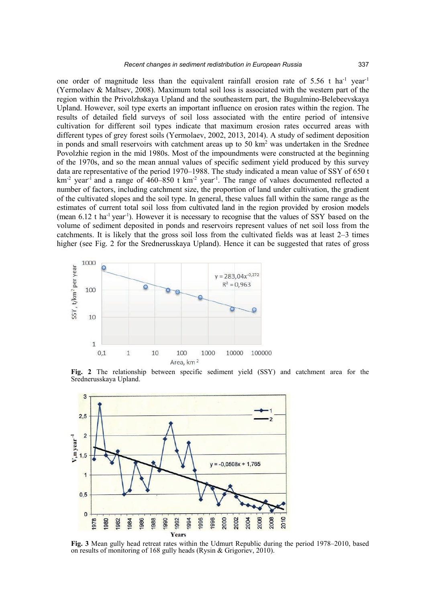one order of magnitude less than the equivalent rainfall erosion rate of 5.56 t ha<sup>-1</sup> year<sup>-1</sup> (Yermolaev & Maltsev, 2008). Maximum total soil loss is associated with the western part of the region within the Privolzhskaya Upland and the southeastern part, the Bugulmino-Belebeevskaya Upland. However, soil type exerts an important influence on erosion rates within the region. The results of detailed field surveys of soil loss associated with the entire period of intensive cultivation for different soil types indicate that maximum erosion rates occurred areas with different types of grey forest soils (Yermolaev, 2002, 2013, 2014). A study of sediment deposition in ponds and small reservoirs with catchment areas up to  $50 \text{ km}^2$  was undertaken in the Srednee Povolzhie region in the mid 1980s. Most of the impoundments were constructed at the beginning of the 1970s, and so the mean annual values of specific sediment yield produced by this survey data are representative of the period 1970–1988. The study indicated a mean value of SSY of 650 t  $km<sup>-2</sup>$  year<sup>-1</sup> and a range of 460–850 t km<sup>-2</sup> year<sup>-1</sup>. The range of values documented reflected a number of factors, including catchment size, the proportion of land under cultivation, the gradient of the cultivated slopes and the soil type. In general, these values fall within the same range as the estimates of current total soil loss from cultivated land in the region provided by erosion models (mean  $6.12$  t ha<sup>-1</sup> year<sup>-1</sup>). However it is necessary to recognise that the values of SSY based on the volume of sediment deposited in ponds and reservoirs represent values of net soil loss from the catchments. It is likely that the gross soil loss from the cultivated fields was at least 2–3 times higher (see Fig. 2 for the Srednerusskaya Upland). Hence it can be suggested that rates of gross



**Fig. 2** The relationship between specific sediment yield (SSY) and catchment area for the Srednerusskaya Upland.



**Fig. 3** Mean gully head retreat rates within the Udmurt Republic during the period 1978–2010, based on results of monitoring of 168 gully heads (Rysin & Grigoriev, 2010).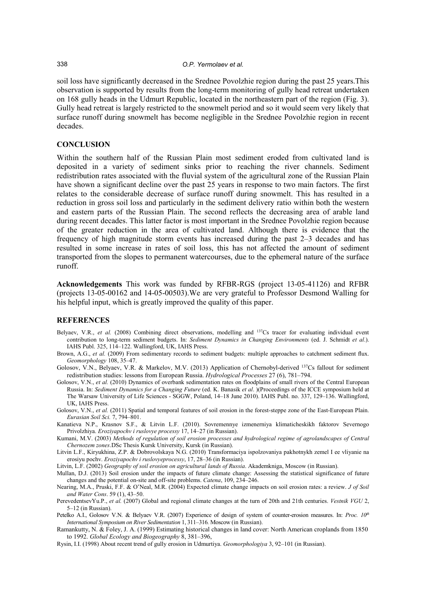soil loss have significantly decreased in the Srednee Povolzhie region during the past 25 years.This observation is supported by results from the long-term monitoring of gully head retreat undertaken on 168 gully heads in the Udmurt Republic, located in the northeastern part of the region (Fig. 3). Gully head retreat is largely restricted to the snowmelt period and so it would seem very likely that surface runoff during snowmelt has become negligible in the Srednee Povolzhie region in recent decades.

### **CONCLUSION**

Within the southern half of the Russian Plain most sediment eroded from cultivated land is deposited in a variety of sediment sinks prior to reaching the river channels. Sediment redistribution rates associated with the fluvial system of the agricultural zone of the Russian Plain have shown a significant decline over the past 25 years in response to two main factors. The first relates to the considerable decrease of surface runoff during snowmelt. This has resulted in a reduction in gross soil loss and particularly in the sediment delivery ratio within both the western and eastern parts of the Russian Plain. The second reflects the decreasing area of arable land during recent decades. This latter factor is most important in the Srednee Povolzhie region because of the greater reduction in the area of cultivated land. Although there is evidence that the frequency of high magnitude storm events has increased during the past 2–3 decades and has resulted in some increase in rates of soil loss, this has not affected the amount of sediment transported from the slopes to permanent watercourses, due to the ephemeral nature of the surface runoff.

**Acknowledgements** This work was funded by RFBR-RGS (project 13-05-41126) and RFBR (projects 13-05-00162 and 14-05-00503).We are very grateful to Professor Desmond Walling for his helpful input, which is greatly improved the quality of this paper.

#### **REFERENCES**

- Belyaev, V.R., *et al.* (2008) Combining direct observations, modelling and <sup>137</sup>Cs tracer for evaluating individual event contribution to long-term sediment budgets. In: *Sediment Dynamics in Changing Environments* (ed. J. Schmidt *et al*.). IAHS Publ. 325, 114–122. Wallingford, UK, IAHS Press.
- Brown, A.G., *et al.* (2009) From sedimentary records to sediment budgets: multiple approaches to catchment sediment flux. *Geomorphology* 108, 35–47.
- Golosov, V.N., Belyaev, V.R. & Markelov, M.V. (2013) Application of Chernobyl-derived 137Cs fallout for sediment redistribution studies: lessons from European Russia. *Hydrological Processes* 27 (6), 781–794.
- Golosov, V.N., *et al.* (2010) Dynamics of overbank sedimentation rates on floodplains of small rivers of the Central European Russia. In: *Sediment Dynamics for a Changing Future* (ed. K. Banasik *et al*. )(Proceedings of the ICCE symposium held at The Warsaw University of Life Sciences - SGGW, Poland, 14–18 June 2010). IAHS Publ. no. 337, 129–136. Wallingford, UK, IAHS Press.
- Golosov, V.N., *et al.* (2011) Spatial and temporal features of soil erosion in the forest-steppe zone of the East-European Plain. *Eurasian Soil Sci.* 7, 794–801.
- Kanatieva N.P., Krasnov S.F., & Litvin L.F. (2010). Sovremennye izmenerniya klimaticheskikh faktorov Severnogo Privolzhiya. *Eroziyapochv i ruslovye processy* 17, 14–27 (in Russian).
- Kumani, M.V. (2003) *Methods of regulation of soil erosion processes and hydrological regime of agrolandscapes of Central Chernozem zones*.DSc Thesis Kursk University, Kursk (in Russian).
- Litvin L.F., Kiryukhina, Z.P. & Dobrovolskaya N.G. (2010) Transformaciya ispolzovaniya pakhotnykh zemel I ee vliyanie na erosiyu pochv. *Eroziyapochv i ruslovyeprocessy*, 17, 28–36 (in Russian).
- Litvin, L.F. (2002) *Geography of soil erosion on agricultural lands of Russia*. Akademkniga, Moscow (in Russian).
- Mullan, D.J. (2013) Soil erosion under the impacts of future climate change: Assessing the statistical significance of future changes and the potential on-site and off-site problems. *Catena*, 109, 234–246.
- Nearing, M.A., Pruski, F.F. & O'Neal, M.R. (2004) Expected climate change impacts on soil erosion rates: a review. *J of Soil and Water Cons*. 59 (1), 43–50.
- PerevedentsevYu.P., *et al.* (2007) Global and regional climate changes at the turn of 20th and 21th centuries. *Vestnik VGU* 2, 5–12 (in Russian).
- Petelko A.I., Golosov V.N. & Belyaev V.R. (2007) Experience of design of system of counter-erosion measures. In: *Proc. 10<sup>th</sup> International Symposium on River Sedimentation* 1, 311–316*.* Moscow (in Russian).
- Ramankutty, N. & Foley, J. A. (1999) Estimating historical changes in land cover: North American croplands from 1850 to 1992. *Global Ecology and Biogeography* 8, 381–396,
- Rysin, I.I. (1998) About recent trend of gully erosion in Udmurtiya. *Geomorphologiya* 3, 92–101 (in Russian).